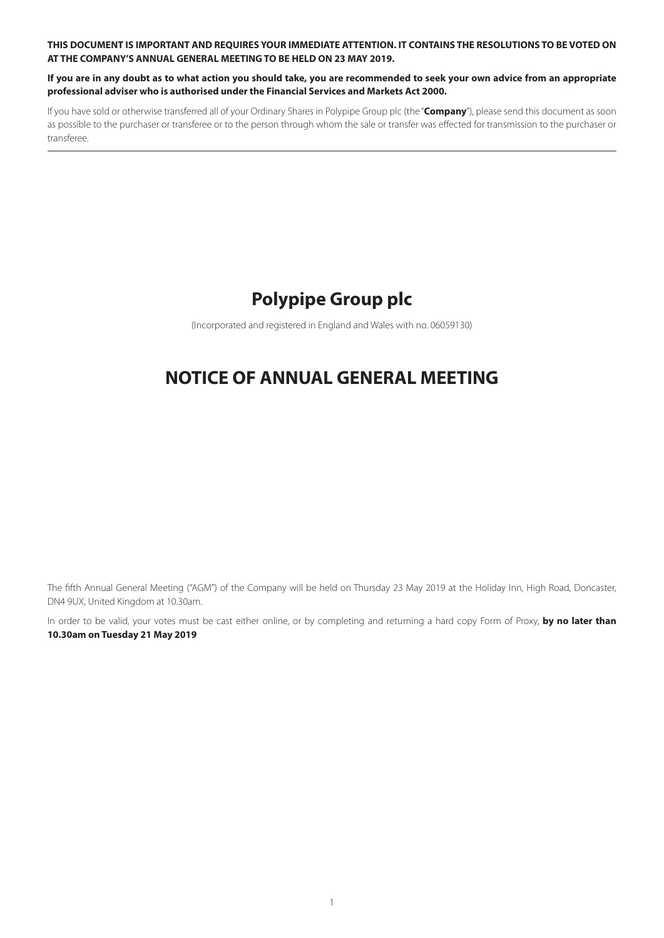**THIS DOCUMENT IS IMPORTANT AND REQUIRES YOUR IMMEDIATE ATTENTION. IT CONTAINS THE RESOLUTIONS TO BE VOTED ON AT THE COMPANY'S ANNUAL GENERAL MEETING TO BE HELD ON 23 MAY 2019.**

**If you are in any doubt as to what action you should take, you are recommended to seek your own advice from an appropriate professional adviser who is authorised under the Financial Services and Markets Act 2000.**

If you have sold or otherwise transferred all of your Ordinary Shares in Polypipe Group plc (the "**Company**"), please send this document as soon as possible to the purchaser or transferee or to the person through whom the sale or transfer was effected for transmission to the purchaser or transferee.

# **Polypipe Group plc**

(Incorporated and registered in England and Wales with no. 06059130)

## **NOTICE OF ANNUAL GENERAL MEETING**

The fifth Annual General Meeting ("AGM") of the Company will be held on Thursday 23 May 2019 at the Holiday Inn, High Road, Doncaster, DN4 9UX, United Kingdom at 10.30am.

In order to be valid, your votes must be cast either online, or by completing and returning a hard copy Form of Proxy, by no later than **10.30am on Tuesday 21 May 2019**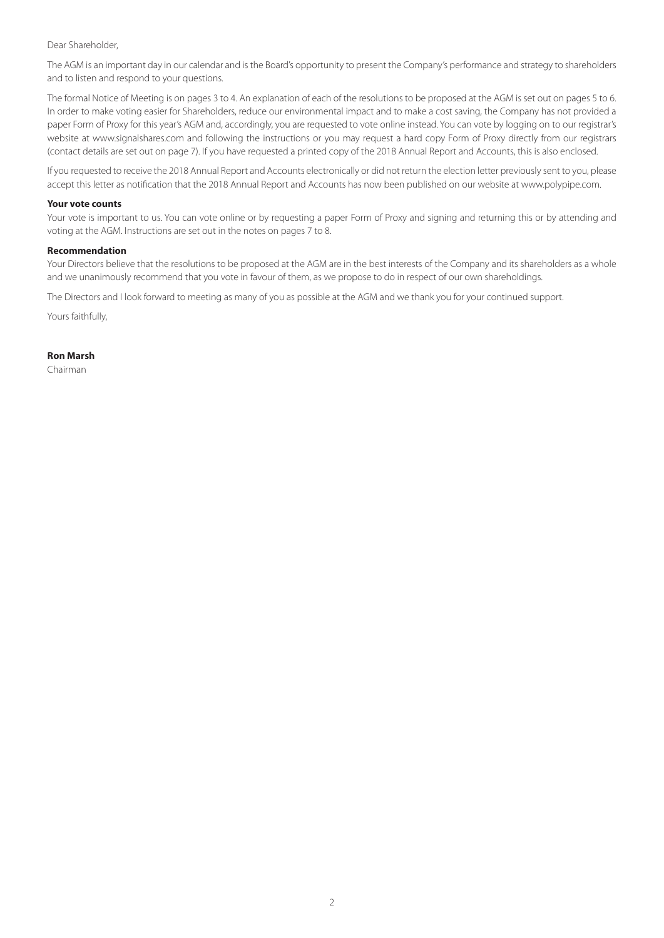## Dear Shareholder,

The AGM is an important day in our calendar and is the Board's opportunity to present the Company's performance and strategy to shareholders and to listen and respond to your questions.

The formal Notice of Meeting is on pages 3 to 4. An explanation of each of the resolutions to be proposed at the AGM is set out on pages 5 to 6. In order to make voting easier for Shareholders, reduce our environmental impact and to make a cost saving, the Company has not provided a paper Form of Proxy for this year's AGM and, accordingly, you are requested to vote online instead. You can vote by logging on to our registrar's website at www.signalshares.com and following the instructions or you may request a hard copy Form of Proxy directly from our registrars (contact details are set out on page 7). If you have requested a printed copy of the 2018 Annual Report and Accounts, this is also enclosed.

If you requested to receive the 2018 Annual Report and Accounts electronically or did not return the election letter previously sent to you, please accept this letter as notification that the 2018 Annual Report and Accounts has now been published on our website at www.polypipe.com.

#### **Your vote counts**

Your vote is important to us. You can vote online or by requesting a paper Form of Proxy and signing and returning this or by attending and voting at the AGM. Instructions are set out in the notes on pages 7 to 8.

#### **Recommendation**

Your Directors believe that the resolutions to be proposed at the AGM are in the best interests of the Company and its shareholders as a whole and we unanimously recommend that you vote in favour of them, as we propose to do in respect of our own shareholdings.

The Directors and I look forward to meeting as many of you as possible at the AGM and we thank you for your continued support.

Yours faithfully,

#### **Ron Marsh**

Chairman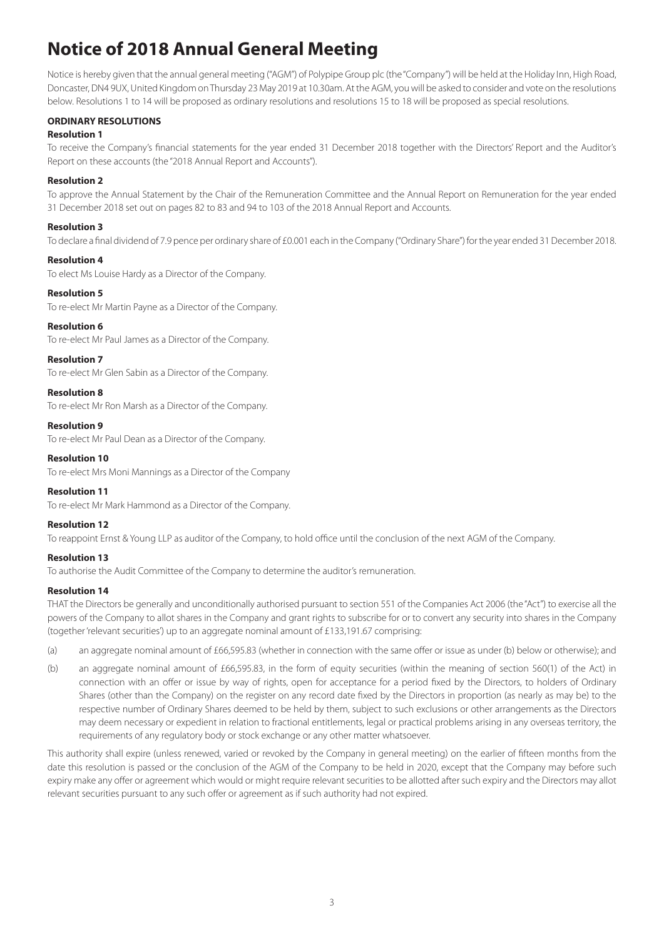# **Notice of 2018 Annual General Meeting**

Notice is hereby given that the annual general meeting ("AGM") of Polypipe Group plc (the "Company") will be held at the Holiday Inn, High Road, Doncaster, DN4 9UX, United Kingdom on Thursday 23 May 2019 at 10.30am. At the AGM, you will be asked to consider and vote on the resolutions below. Resolutions 1 to 14 will be proposed as ordinary resolutions and resolutions 15 to 18 will be proposed as special resolutions.

## **ORDINARY RESOLUTIONS**

## **Resolution 1**

To receive the Company's financial statements for the year ended 31 December 2018 together with the Directors' Report and the Auditor's Report on these accounts (the "2018 Annual Report and Accounts").

## **Resolution 2**

To approve the Annual Statement by the Chair of the Remuneration Committee and the Annual Report on Remuneration for the year ended 31 December 2018 set out on pages 82 to 83 and 94 to 103 of the 2018 Annual Report and Accounts.

## **Resolution 3**

To declare a final dividend of 7.9 pence per ordinary share of £0.001 each in the Company ("Ordinary Share") for the year ended 31 December 2018.

### **Resolution 4**

To elect Ms Louise Hardy as a Director of the Company.

### **Resolution 5**

To re-elect Mr Martin Payne as a Director of the Company.

## **Resolution 6**

To re-elect Mr Paul James as a Director of the Company.

## **Resolution 7**

To re-elect Mr Glen Sabin as a Director of the Company.

### **Resolution 8**

To re-elect Mr Ron Marsh as a Director of the Company.

## **Resolution 9**

To re-elect Mr Paul Dean as a Director of the Company.

### **Resolution 10**

To re-elect Mrs Moni Mannings as a Director of the Company

#### **Resolution 11**

To re-elect Mr Mark Hammond as a Director of the Company.

#### **Resolution 12**

To reappoint Ernst & Young LLP as auditor of the Company, to hold office until the conclusion of the next AGM of the Company.

## **Resolution 13**

To authorise the Audit Committee of the Company to determine the auditor's remuneration.

## **Resolution 14**

THAT the Directors be generally and unconditionally authorised pursuant to section 551 of the Companies Act 2006 (the "Act") to exercise all the powers of the Company to allot shares in the Company and grant rights to subscribe for or to convert any security into shares in the Company (together 'relevant securities') up to an aggregate nominal amount of £133,191.67 comprising:

- (a) an aggregate nominal amount of £66,595.83 (whether in connection with the same offer or issue as under (b) below or otherwise); and
- (b) an aggregate nominal amount of £66,595.83, in the form of equity securities (within the meaning of section 560(1) of the Act) in connection with an offer or issue by way of rights, open for acceptance for a period fixed by the Directors, to holders of Ordinary Shares (other than the Company) on the register on any record date fixed by the Directors in proportion (as nearly as may be) to the respective number of Ordinary Shares deemed to be held by them, subject to such exclusions or other arrangements as the Directors may deem necessary or expedient in relation to fractional entitlements, legal or practical problems arising in any overseas territory, the requirements of any regulatory body or stock exchange or any other matter whatsoever.

This authority shall expire (unless renewed, varied or revoked by the Company in general meeting) on the earlier of fifteen months from the date this resolution is passed or the conclusion of the AGM of the Company to be held in 2020, except that the Company may before such expiry make any offer or agreement which would or might require relevant securities to be allotted after such expiry and the Directors may allot relevant securities pursuant to any such offer or agreement as if such authority had not expired.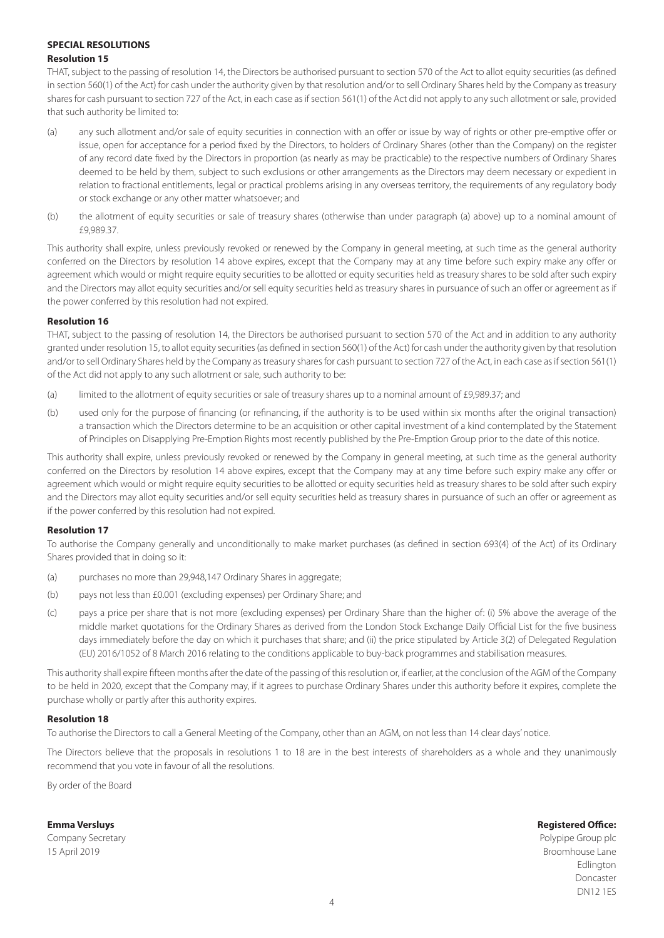## **SPECIAL RESOLUTIONS Resolution 15**

THAT, subject to the passing of resolution 14, the Directors be authorised pursuant to section 570 of the Act to allot equity securities (as defined in section 560(1) of the Act) for cash under the authority given by that resolution and/or to sell Ordinary Shares held by the Company as treasury shares for cash pursuant to section 727 of the Act, in each case as if section 561(1) of the Act did not apply to any such allotment or sale, provided that such authority be limited to:

- (a) any such allotment and/or sale of equity securities in connection with an offer or issue by way of rights or other pre-emptive offer or issue, open for acceptance for a period fixed by the Directors, to holders of Ordinary Shares (other than the Company) on the register of any record date fixed by the Directors in proportion (as nearly as may be practicable) to the respective numbers of Ordinary Shares deemed to be held by them, subject to such exclusions or other arrangements as the Directors may deem necessary or expedient in relation to fractional entitlements, legal or practical problems arising in any overseas territory, the requirements of any regulatory body or stock exchange or any other matter whatsoever; and
- (b) the allotment of equity securities or sale of treasury shares (otherwise than under paragraph (a) above) up to a nominal amount of £9,989.37.

This authority shall expire, unless previously revoked or renewed by the Company in general meeting, at such time as the general authority conferred on the Directors by resolution 14 above expires, except that the Company may at any time before such expiry make any offer or agreement which would or might require equity securities to be allotted or equity securities held as treasury shares to be sold after such expiry and the Directors may allot equity securities and/or sell equity securities held as treasury shares in pursuance of such an offer or agreement as if the power conferred by this resolution had not expired.

## **Resolution 16**

THAT, subject to the passing of resolution 14, the Directors be authorised pursuant to section 570 of the Act and in addition to any authority granted under resolution 15, to allot equity securities (as defined in section 560(1) of the Act) for cash under the authority given by that resolution and/or to sell Ordinary Shares held by the Company as treasury shares for cash pursuant to section 727 of the Act, in each case as if section 561(1) of the Act did not apply to any such allotment or sale, such authority to be:

- (a) limited to the allotment of equity securities or sale of treasury shares up to a nominal amount of £9,989.37; and
- (b) used only for the purpose of financing (or refinancing, if the authority is to be used within six months after the original transaction) a transaction which the Directors determine to be an acquisition or other capital investment of a kind contemplated by the Statement of Principles on Disapplying Pre-Emption Rights most recently published by the Pre-Emption Group prior to the date of this notice.

This authority shall expire, unless previously revoked or renewed by the Company in general meeting, at such time as the general authority conferred on the Directors by resolution 14 above expires, except that the Company may at any time before such expiry make any offer or agreement which would or might require equity securities to be allotted or equity securities held as treasury shares to be sold after such expiry and the Directors may allot equity securities and/or sell equity securities held as treasury shares in pursuance of such an offer or agreement as if the power conferred by this resolution had not expired.

## **Resolution 17**

To authorise the Company generally and unconditionally to make market purchases (as defined in section 693(4) of the Act) of its Ordinary Shares provided that in doing so it:

- (a) purchases no more than 29,948,147 Ordinary Shares in aggregate;
- (b) pays not less than £0.001 (excluding expenses) per Ordinary Share; and
- (c) pays a price per share that is not more (excluding expenses) per Ordinary Share than the higher of: (i) 5% above the average of the middle market quotations for the Ordinary Shares as derived from the London Stock Exchange Daily Official List for the five business days immediately before the day on which it purchases that share; and (ii) the price stipulated by Article 3(2) of Delegated Regulation (EU) 2016/1052 of 8 March 2016 relating to the conditions applicable to buy-back programmes and stabilisation measures.

This authority shall expire fifteen months after the date of the passing of this resolution or, if earlier, at the conclusion of the AGM of the Company to be held in 2020, except that the Company may, if it agrees to purchase Ordinary Shares under this authority before it expires, complete the purchase wholly or partly after this authority expires.

## **Resolution 18**

To authorise the Directors to call a General Meeting of the Company, other than an AGM, on not less than 14 clear days' notice.

The Directors believe that the proposals in resolutions 1 to 18 are in the best interests of shareholders as a whole and they unanimously recommend that you vote in favour of all the resolutions.

By order of the Board

Company Secretary **Polypipe Group plc** Company Secretary **Polypipe Group plc** 15 April 2019 Broomhouse Lane

**Emma Versluys Registered Office:**

Edlington Doncaster DN12 1ES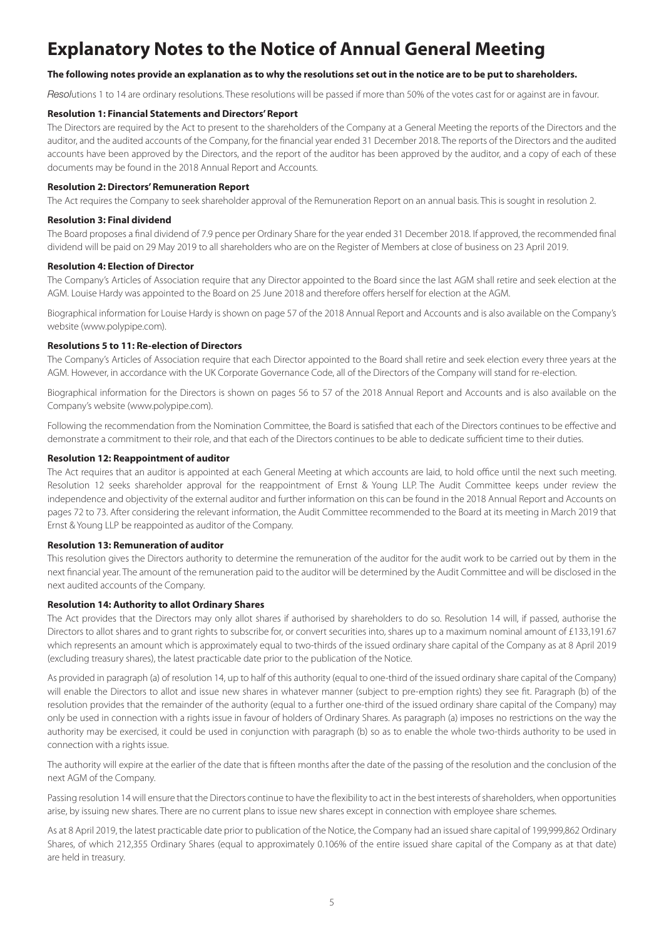# **Explanatory Notes to the Notice of Annual General Meeting**

## **The following notes provide an explanation as to why the resolutions set out in the notice are to be put to shareholders.**

*Resol*utions 1 to 14 are ordinary resolutions. These resolutions will be passed if more than 50% of the votes cast for or against are in favour.

#### **Resolution 1: Financial Statements and Directors' Report**

The Directors are required by the Act to present to the shareholders of the Company at a General Meeting the reports of the Directors and the auditor, and the audited accounts of the Company, for the financial year ended 31 December 2018. The reports of the Directors and the audited accounts have been approved by the Directors, and the report of the auditor has been approved by the auditor, and a copy of each of these documents may be found in the 2018 Annual Report and Accounts.

#### **Resolution 2: Directors' Remuneration Report**

The Act requires the Company to seek shareholder approval of the Remuneration Report on an annual basis. This is sought in resolution 2.

#### **Resolution 3: Final dividend**

The Board proposes a final dividend of 7.9 pence per Ordinary Share for the year ended 31 December 2018. If approved, the recommended final dividend will be paid on 29 May 2019 to all shareholders who are on the Register of Members at close of business on 23 April 2019.

#### **Resolution 4: Election of Director**

The Company's Articles of Association require that any Director appointed to the Board since the last AGM shall retire and seek election at the AGM. Louise Hardy was appointed to the Board on 25 June 2018 and therefore offers herself for election at the AGM.

Biographical information for Louise Hardy is shown on page 57 of the 2018 Annual Report and Accounts and is also available on the Company's website (www.polypipe.com).

#### **Resolutions 5 to 11: Re-election of Directors**

The Company's Articles of Association require that each Director appointed to the Board shall retire and seek election every three years at the AGM. However, in accordance with the UK Corporate Governance Code, all of the Directors of the Company will stand for re-election.

Biographical information for the Directors is shown on pages 56 to 57 of the 2018 Annual Report and Accounts and is also available on the Company's website (www.polypipe.com).

Following the recommendation from the Nomination Committee, the Board is satisfied that each of the Directors continues to be effective and demonstrate a commitment to their role, and that each of the Directors continues to be able to dedicate sufficient time to their duties.

#### **Resolution 12: Reappointment of auditor**

The Act requires that an auditor is appointed at each General Meeting at which accounts are laid, to hold office until the next such meeting. Resolution 12 seeks shareholder approval for the reappointment of Ernst & Young LLP. The Audit Committee keeps under review the independence and objectivity of the external auditor and further information on this can be found in the 2018 Annual Report and Accounts on pages 72 to 73. After considering the relevant information, the Audit Committee recommended to the Board at its meeting in March 2019 that Ernst & Young LLP be reappointed as auditor of the Company.

#### **Resolution 13: Remuneration of auditor**

This resolution gives the Directors authority to determine the remuneration of the auditor for the audit work to be carried out by them in the next financial year. The amount of the remuneration paid to the auditor will be determined by the Audit Committee and will be disclosed in the next audited accounts of the Company.

## **Resolution 14: Authority to allot Ordinary Shares**

The Act provides that the Directors may only allot shares if authorised by shareholders to do so. Resolution 14 will, if passed, authorise the Directors to allot shares and to grant rights to subscribe for, or convert securities into, shares up to a maximum nominal amount of £133,191.67 which represents an amount which is approximately equal to two-thirds of the issued ordinary share capital of the Company as at 8 April 2019 (excluding treasury shares), the latest practicable date prior to the publication of the Notice.

As provided in paragraph (a) of resolution 14, up to half of this authority (equal to one-third of the issued ordinary share capital of the Company) will enable the Directors to allot and issue new shares in whatever manner (subject to pre-emption rights) they see fit. Paragraph (b) of the resolution provides that the remainder of the authority (equal to a further one-third of the issued ordinary share capital of the Company) may only be used in connection with a rights issue in favour of holders of Ordinary Shares. As paragraph (a) imposes no restrictions on the way the authority may be exercised, it could be used in conjunction with paragraph (b) so as to enable the whole two-thirds authority to be used in connection with a rights issue.

The authority will expire at the earlier of the date that is fifteen months after the date of the passing of the resolution and the conclusion of the next AGM of the Company.

Passing resolution 14 will ensure that the Directors continue to have the flexibility to act in the best interests of shareholders, when opportunities arise, by issuing new shares. There are no current plans to issue new shares except in connection with employee share schemes.

As at 8 April 2019, the latest practicable date prior to publication of the Notice, the Company had an issued share capital of 199,999,862 Ordinary Shares, of which 212,355 Ordinary Shares (equal to approximately 0.106% of the entire issued share capital of the Company as at that date) are held in treasury.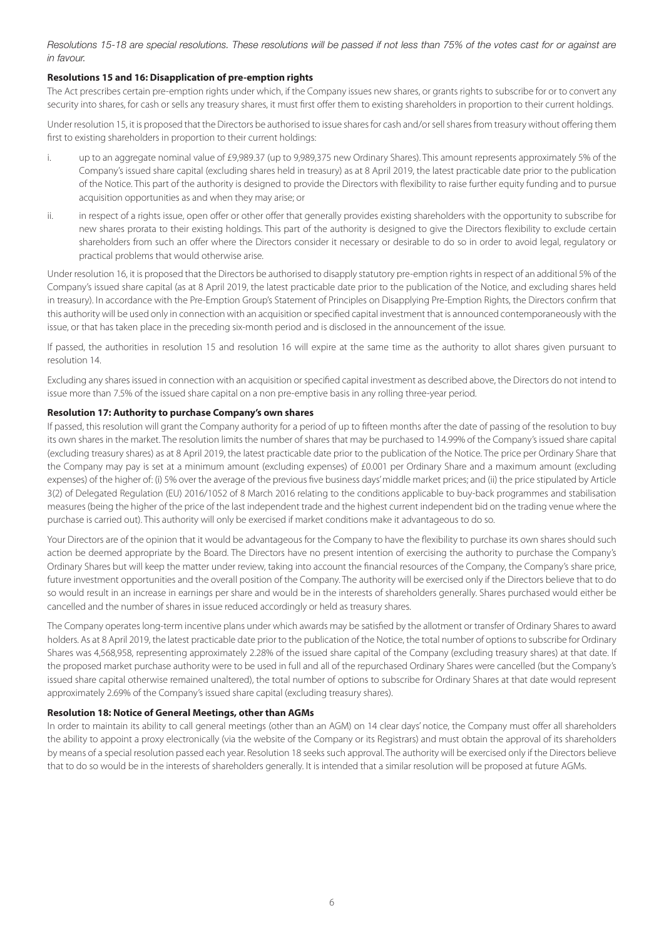*Resolutions 15-18 are special resolutions. These resolutions will be passed if not less than 75% of the votes cast for or against are in favour.*

#### **Resolutions 15 and 16: Disapplication of pre-emption rights**

The Act prescribes certain pre-emption rights under which, if the Company issues new shares, or grants rights to subscribe for or to convert any security into shares, for cash or sells any treasury shares, it must first offer them to existing shareholders in proportion to their current holdings.

Under resolution 15, it is proposed that the Directors be authorised to issue shares for cash and/or sell shares from treasury without offering them first to existing shareholders in proportion to their current holdings:

- i. up to an aggregate nominal value of £9,989.37 (up to 9,989,375 new Ordinary Shares). This amount represents approximately 5% of the Company's issued share capital (excluding shares held in treasury) as at 8 April 2019, the latest practicable date prior to the publication of the Notice. This part of the authority is designed to provide the Directors with flexibility to raise further equity funding and to pursue acquisition opportunities as and when they may arise; or
- ii. in respect of a rights issue, open offer or other offer that generally provides existing shareholders with the opportunity to subscribe for new shares prorata to their existing holdings. This part of the authority is designed to give the Directors flexibility to exclude certain shareholders from such an offer where the Directors consider it necessary or desirable to do so in order to avoid legal, regulatory or practical problems that would otherwise arise.

Under resolution 16, it is proposed that the Directors be authorised to disapply statutory pre-emption rights in respect of an additional 5% of the Company's issued share capital (as at 8 April 2019, the latest practicable date prior to the publication of the Notice, and excluding shares held in treasury). In accordance with the Pre-Emption Group's Statement of Principles on Disapplying Pre-Emption Rights, the Directors confirm that this authority will be used only in connection with an acquisition or specified capital investment that is announced contemporaneously with the issue, or that has taken place in the preceding six-month period and is disclosed in the announcement of the issue.

If passed, the authorities in resolution 15 and resolution 16 will expire at the same time as the authority to allot shares given pursuant to resolution 14.

Excluding any shares issued in connection with an acquisition or specified capital investment as described above, the Directors do not intend to issue more than 7.5% of the issued share capital on a non pre-emptive basis in any rolling three-year period.

#### **Resolution 17: Authority to purchase Company's own shares**

If passed, this resolution will grant the Company authority for a period of up to fifteen months after the date of passing of the resolution to buy its own shares in the market. The resolution limits the number of shares that may be purchased to 14.99% of the Company's issued share capital (excluding treasury shares) as at 8 April 2019, the latest practicable date prior to the publication of the Notice. The price per Ordinary Share that the Company may pay is set at a minimum amount (excluding expenses) of £0.001 per Ordinary Share and a maximum amount (excluding expenses) of the higher of: (i) 5% over the average of the previous five business days' middle market prices; and (ii) the price stipulated by Article 3(2) of Delegated Regulation (EU) 2016/1052 of 8 March 2016 relating to the conditions applicable to buy-back programmes and stabilisation measures (being the higher of the price of the last independent trade and the highest current independent bid on the trading venue where the purchase is carried out). This authority will only be exercised if market conditions make it advantageous to do so.

Your Directors are of the opinion that it would be advantageous for the Company to have the flexibility to purchase its own shares should such action be deemed appropriate by the Board. The Directors have no present intention of exercising the authority to purchase the Company's Ordinary Shares but will keep the matter under review, taking into account the financial resources of the Company, the Company's share price, future investment opportunities and the overall position of the Company. The authority will be exercised only if the Directors believe that to do so would result in an increase in earnings per share and would be in the interests of shareholders generally. Shares purchased would either be cancelled and the number of shares in issue reduced accordingly or held as treasury shares.

The Company operates long-term incentive plans under which awards may be satisfied by the allotment or transfer of Ordinary Shares to award holders. As at 8 April 2019, the latest practicable date prior to the publication of the Notice, the total number of options to subscribe for Ordinary Shares was 4,568,958, representing approximately 2.28% of the issued share capital of the Company (excluding treasury shares) at that date. If the proposed market purchase authority were to be used in full and all of the repurchased Ordinary Shares were cancelled (but the Company's issued share capital otherwise remained unaltered), the total number of options to subscribe for Ordinary Shares at that date would represent approximately 2.69% of the Company's issued share capital (excluding treasury shares).

#### **Resolution 18: Notice of General Meetings, other than AGMs**

In order to maintain its ability to call general meetings (other than an AGM) on 14 clear days' notice, the Company must offer all shareholders the ability to appoint a proxy electronically (via the website of the Company or its Registrars) and must obtain the approval of its shareholders by means of a special resolution passed each year. Resolution 18 seeks such approval. The authority will be exercised only if the Directors believe that to do so would be in the interests of shareholders generally. It is intended that a similar resolution will be proposed at future AGMs.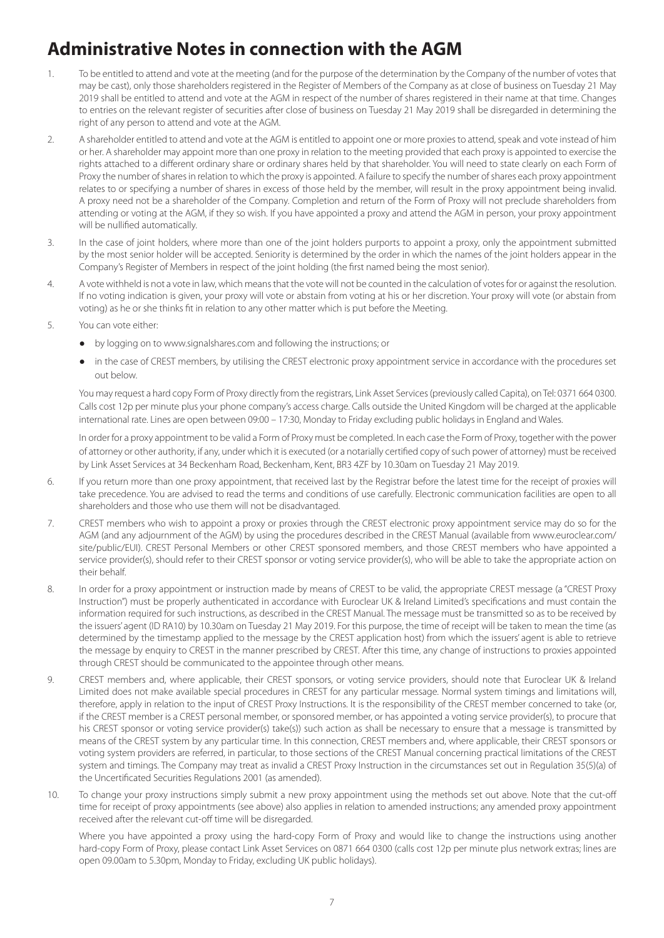# **Administrative Notes in connection with the AGM**

- 1. To be entitled to attend and vote at the meeting (and for the purpose of the determination by the Company of the number of votes that may be cast), only those shareholders registered in the Register of Members of the Company as at close of business on Tuesday 21 May 2019 shall be entitled to attend and vote at the AGM in respect of the number of shares registered in their name at that time. Changes to entries on the relevant register of securities after close of business on Tuesday 21 May 2019 shall be disregarded in determining the right of any person to attend and vote at the AGM.
- 2. A shareholder entitled to attend and vote at the AGM is entitled to appoint one or more proxies to attend, speak and vote instead of him or her. A shareholder may appoint more than one proxy in relation to the meeting provided that each proxy is appointed to exercise the rights attached to a different ordinary share or ordinary shares held by that shareholder. You will need to state clearly on each Form of Proxy the number of shares in relation to which the proxy is appointed. A failure to specify the number of shares each proxy appointment relates to or specifying a number of shares in excess of those held by the member, will result in the proxy appointment being invalid. A proxy need not be a shareholder of the Company. Completion and return of the Form of Proxy will not preclude shareholders from attending or voting at the AGM, if they so wish. If you have appointed a proxy and attend the AGM in person, your proxy appointment will be nullified automatically.
- 3. In the case of joint holders, where more than one of the joint holders purports to appoint a proxy, only the appointment submitted by the most senior holder will be accepted. Seniority is determined by the order in which the names of the joint holders appear in the Company's Register of Members in respect of the joint holding (the first named being the most senior).
- 4. A vote withheld is not a vote in law, which means that the vote will not be counted in the calculation of votes for or against the resolution. If no voting indication is given, your proxy will vote or abstain from voting at his or her discretion. Your proxy will vote (or abstain from voting) as he or she thinks fit in relation to any other matter which is put before the Meeting.
- 5. You can vote either:
	- by logging on to www.signalshares.com and following the instructions; or
	- in the case of CREST members, by utilising the CREST electronic proxy appointment service in accordance with the procedures set out below.

You may request a hard copy Form of Proxy directly from the registrars, Link Asset Services (previously called Capita), on Tel: 0371 664 0300. Calls cost 12p per minute plus your phone company's access charge. Calls outside the United Kingdom will be charged at the applicable international rate. Lines are open between 09:00 – 17:30, Monday to Friday excluding public holidays in England and Wales.

In order for a proxy appointment to be valid a Form of Proxy must be completed. In each case the Form of Proxy, together with the power of attorney or other authority, if any, under which it is executed (or a notarially certified copy of such power of attorney) must be received by Link Asset Services at 34 Beckenham Road, Beckenham, Kent, BR3 4ZF by 10.30am on Tuesday 21 May 2019.

- 6. If you return more than one proxy appointment, that received last by the Registrar before the latest time for the receipt of proxies will take precedence. You are advised to read the terms and conditions of use carefully. Electronic communication facilities are open to all shareholders and those who use them will not be disadvantaged.
- 7. CREST members who wish to appoint a proxy or proxies through the CREST electronic proxy appointment service may do so for the AGM (and any adjournment of the AGM) by using the procedures described in the CREST Manual (available from www.euroclear.com/ site/public/EUI). CREST Personal Members or other CREST sponsored members, and those CREST members who have appointed a service provider(s), should refer to their CREST sponsor or voting service provider(s), who will be able to take the appropriate action on their behalf.
- 8. In order for a proxy appointment or instruction made by means of CREST to be valid, the appropriate CREST message (a "CREST Proxy Instruction") must be properly authenticated in accordance with Euroclear UK & Ireland Limited's specifications and must contain the information required for such instructions, as described in the CREST Manual. The message must be transmitted so as to be received by the issuers' agent (ID RA10) by 10.30am on Tuesday 21 May 2019. For this purpose, the time of receipt will be taken to mean the time (as determined by the timestamp applied to the message by the CREST application host) from which the issuers' agent is able to retrieve the message by enquiry to CREST in the manner prescribed by CREST. After this time, any change of instructions to proxies appointed through CREST should be communicated to the appointee through other means.
- 9. CREST members and, where applicable, their CREST sponsors, or voting service providers, should note that Euroclear UK & Ireland Limited does not make available special procedures in CREST for any particular message. Normal system timings and limitations will, therefore, apply in relation to the input of CREST Proxy Instructions. It is the responsibility of the CREST member concerned to take (or, if the CREST member is a CREST personal member, or sponsored member, or has appointed a voting service provider(s), to procure that his CREST sponsor or voting service provider(s) take(s)) such action as shall be necessary to ensure that a message is transmitted by means of the CREST system by any particular time. In this connection, CREST members and, where applicable, their CREST sponsors or voting system providers are referred, in particular, to those sections of the CREST Manual concerning practical limitations of the CREST system and timings. The Company may treat as invalid a CREST Proxy Instruction in the circumstances set out in Regulation 35(5)(a) of the Uncertificated Securities Regulations 2001 (as amended).
- 10. To change your proxy instructions simply submit a new proxy appointment using the methods set out above. Note that the cut-off time for receipt of proxy appointments (see above) also applies in relation to amended instructions; any amended proxy appointment received after the relevant cut-off time will be disregarded.

Where you have appointed a proxy using the hard-copy Form of Proxy and would like to change the instructions using another hard-copy Form of Proxy, please contact Link Asset Services on 0871 664 0300 (calls cost 12p per minute plus network extras; lines are open 09.00am to 5.30pm, Monday to Friday, excluding UK public holidays).